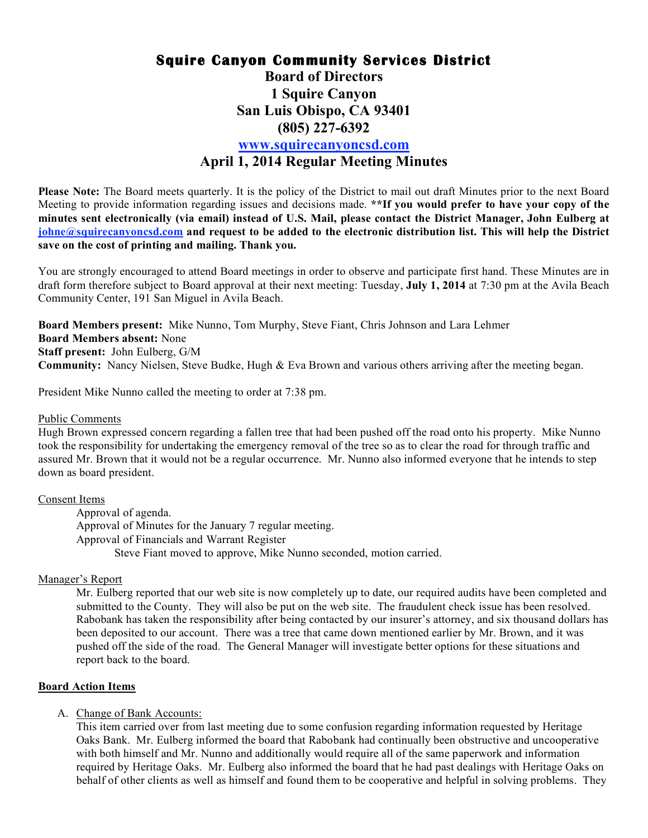# **Squire Canyon Community Services District Board of Directors 1 Squire Canyon San Luis Obispo, CA 93401 (805) 227-6392 www.squirecanyoncsd.com April 1, 2014 Regular Meeting Minutes**

**Please Note:** The Board meets quarterly. It is the policy of the District to mail out draft Minutes prior to the next Board Meeting to provide information regarding issues and decisions made. **\*\*If you would prefer to have your copy of the minutes sent electronically (via email) instead of U.S. Mail, please contact the District Manager, John Eulberg at johne@squirecanyoncsd.com and request to be added to the electronic distribution list. This will help the District save on the cost of printing and mailing. Thank you.** 

You are strongly encouraged to attend Board meetings in order to observe and participate first hand. These Minutes are in draft form therefore subject to Board approval at their next meeting: Tuesday, **July 1, 2014** at 7:30 pm at the Avila Beach Community Center, 191 San Miguel in Avila Beach.

**Board Members present:** Mike Nunno, Tom Murphy, Steve Fiant, Chris Johnson and Lara Lehmer **Board Members absent:** None **Staff present:** John Eulberg, G/M **Community:** Nancy Nielsen, Steve Budke, Hugh & Eva Brown and various others arriving after the meeting began.

President Mike Nunno called the meeting to order at 7:38 pm.

#### Public Comments

Hugh Brown expressed concern regarding a fallen tree that had been pushed off the road onto his property. Mike Nunno took the responsibility for undertaking the emergency removal of the tree so as to clear the road for through traffic and assured Mr. Brown that it would not be a regular occurrence. Mr. Nunno also informed everyone that he intends to step down as board president.

## Consent Items

Approval of agenda. Approval of Minutes for the January 7 regular meeting. Approval of Financials and Warrant Register Steve Fiant moved to approve, Mike Nunno seconded, motion carried.

## Manager's Report

Mr. Eulberg reported that our web site is now completely up to date, our required audits have been completed and submitted to the County. They will also be put on the web site. The fraudulent check issue has been resolved. Rabobank has taken the responsibility after being contacted by our insurer's attorney, and six thousand dollars has been deposited to our account. There was a tree that came down mentioned earlier by Mr. Brown, and it was pushed off the side of the road. The General Manager will investigate better options for these situations and report back to the board.

## **Board Action Items**

## A. Change of Bank Accounts:

This item carried over from last meeting due to some confusion regarding information requested by Heritage Oaks Bank. Mr. Eulberg informed the board that Rabobank had continually been obstructive and uncooperative with both himself and Mr. Nunno and additionally would require all of the same paperwork and information required by Heritage Oaks. Mr. Eulberg also informed the board that he had past dealings with Heritage Oaks on behalf of other clients as well as himself and found them to be cooperative and helpful in solving problems. They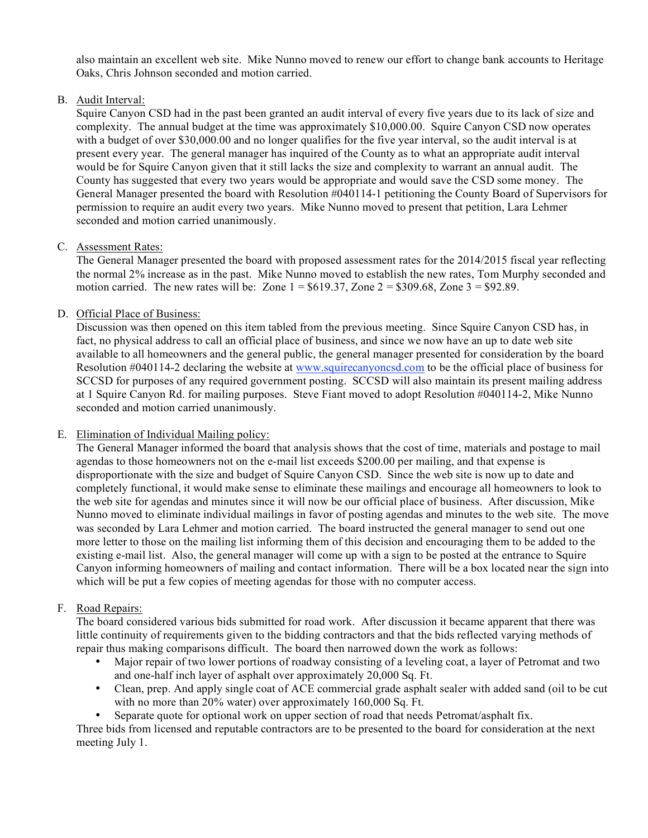also maintain an excellent web site. Mike Nunno moved to renew our effort to change bank accounts to Heritage Oaks, Chris Johnson seconded and motion carried.

B. Audit Interval:

Squire Canyon CSD had in the past been granted an audit interval of every five years due to its lack of size and complexity. The annual budget at the time was approximately \$10,000.00. Squire Canyon CSD now operates with a budget of over \$30,000.00 and no longer qualifies for the five year interval, so the audit interval is at present every year. The general manager has inquired of the County as to what an appropriate audit interval would be for Squire Canyon given that it still lacks the size and complexity to warrant an annual audit. The County has suggested that every two years would be appropriate and would save the CSD some money. The General Manager presented the board with Resolution #040114-1 petitioning the County Board of Supervisors for permission to require an audit every two years. Mike Nunno moved to present that petition, Lara Lehmer seconded and motion carried unanimously.

## C. Assessment Rates:

The General Manager presented the board with proposed assessment rates for the 2014/2015 fiscal year reflecting the normal 2% increase as in the past. Mike Nunno moved to establish the new rates, Tom Murphy seconded and motion carried. The new rates will be: Zone  $1 = $619.37$ , Zone  $2 = $309.68$ , Zone  $3 = $92.89$ .

## D. Official Place of Business:

Discussion was then opened on this item tabled from the previous meeting. Since Squire Canyon CSD has, in fact, no physical address to call an official place of business, and since we now have an up to date web site available to all homeowners and the general public, the general manager presented for consideration by the board Resolution #040114-2 declaring the website at www.squirecanyoncsd.com to be the official place of business for SCCSD for purposes of any required government posting. SCCSD will also maintain its present mailing address at 1 Squire Canyon Rd. for mailing purposes. Steve Fiant moved to adopt Resolution #040114-2, Mike Nunno seconded and motion carried unanimously.

## E. Elimination of Individual Mailing policy:

The General Manager informed the board that analysis shows that the cost of time, materials and postage to mail agendas to those homeowners not on the e-mail list exceeds \$200.00 per mailing, and that expense is disproportionate with the size and budget of Squire Canyon CSD. Since the web site is now up to date and completely functional, it would make sense to eliminate these mailings and encourage all homeowners to look to the web site for agendas and minutes since it will now be our official place of business. After discussion, Mike Nunno moved to eliminate individual mailings in favor of posting agendas and minutes to the web site. The move was seconded by Lara Lehmer and motion carried. The board instructed the general manager to send out one more letter to those on the mailing list informing them of this decision and encouraging them to be added to the existing e-mail list. Also, the general manager will come up with a sign to be posted at the entrance to Squire Canyon informing homeowners of mailing and contact information. There will be a box located near the sign into which will be put a few copies of meeting agendas for those with no computer access.

## F. Road Repairs:

The board considered various bids submitted for road work. After discussion it became apparent that there was little continuity of requirements given to the bidding contractors and that the bids reflected varying methods of repair thus making comparisons difficult. The board then narrowed down the work as follows:

- Major repair of two lower portions of roadway consisting of a leveling coat, a layer of Petromat and two and one-half inch layer of asphalt over approximately 20,000 Sq. Ft.
- Clean, prep. And apply single coat of ACE commercial grade asphalt sealer with added sand (oil to be cut with no more than 20% water) over approximately 160,000 Sq. Ft.
- Separate quote for optional work on upper section of road that needs Petromat/asphalt fix.

Three bids from licensed and reputable contractors are to be presented to the board for consideration at the next meeting July 1.